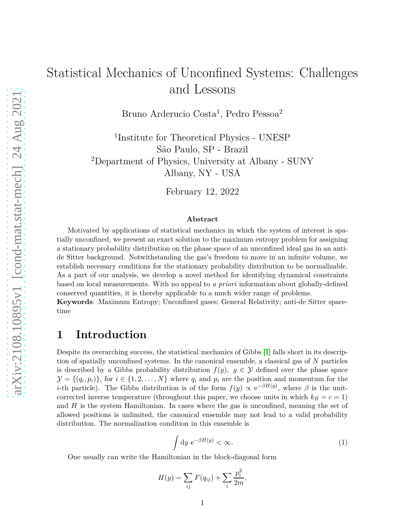# Statistical Mechanics of Unconfined Systems: Challenges and Lessons

Bruno Arderucio Costa<sup>1</sup>, Pedro Pessoa<sup>2</sup>

1 Institute for Theoretical Physics - UNESP São Paulo, SP - Brazil <sup>2</sup>Department of Physics, University at Albany - SUNY Albany, NY - USA

February 12, 2022

#### **Abstract**

Motivated by applications of statistical mechanics in which the system of interest is spatially unconfined, we present an exact solution to the maximum entropy problem for assigning a stationary probability distribution on the phase space of an unconfined ideal gas in an antide Sitter background. Notwithstanding the gas's freedom to move in an infinite volume, we establish necessary conditions for the stationary probability distribution to be normalizable. As a part of our analysis, we develop a novel method for identifying dynamical constraints based on local measurements. With no appeal to *a priori* information about globally-defined conserved quantities, it is thereby applicable to a much wider range of problems. **Keywords**: Maximum Entropy; Unconfined gases; General Relativity; anti-de Sitter space-

# **1 Introduction**

time

Despite its overarching success, the statistical mechanics of Gibbs [\[1\]](#page-7-0) falls short in its description of spatially unconfined systems. In the canonical ensemble, a classical gas of *N* particles is described by a Gibbs probability distribution  $f(y)$ ,  $y \in Y$  defined over the phase space  $\mathcal{Y} = \{(q_i, p_i)\}\$ , for  $i \in \{1, 2, ..., N\}$  where  $q_i$  and  $p_i$  are the position and momentum for the *i*-th particle). The Gibbs distribution is of the form  $f(y) \propto e^{-\beta H(y)}$ , where  $\beta$  is the unitcorrected inverse temperature (throughout this paper, we choose units in which  $k_B = c = 1$ ) and *H* is the system Hamiltonian. In cases where the gas is unconfined, meaning the set of allowed positions is unlimited, the canonical ensemble may not lead to a valid probability distribution. The normalization condition in this ensemble is

<span id="page-0-0"></span>
$$
\int dy e^{-\beta H(y)} < \infty.
$$
 (1)

One usually can write the Hamiltonian in the block-diagonal form

$$
H(y) = \sum_{ij} F(q_{ij}) + \sum_i \frac{p_i^2}{2m},
$$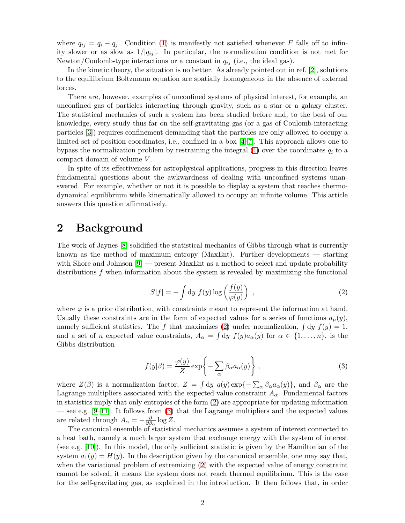where  $q_{ij} = q_i - q_j$ . Condition [\(1\)](#page-0-0) is manifestly not satisfied whenever *F* falls off to infinity slower or as slow as  $1/|q_{ij}|$ . In particular, the normalization condition is not met for Newton/Coulomb-type interactions or a constant in  $q_{ij}$  (i.e., the ideal gas).

In the kinetic theory, the situation is no better. As already pointed out in ref. [\[2\]](#page-7-1), solutions to the equilibrium Boltzmann equation are spatially homogeneous in the absence of external forces.

There are, however, examples of unconfined systems of physical interest, for example, an unconfined gas of particles interacting through gravity, such as a star or a galaxy cluster. The statistical mechanics of such a system has been studied before and, to the best of our knowledge, every study thus far on the self-gravitating gas (or a gas of Coulomb-interacting particles [\[3\]](#page-7-2)) requires confinement demanding that the particles are only allowed to occupy a limited set of position coordinates, i.e., confined in a box [\[4](#page-7-3)[–7\]](#page-8-0). This approach allows one to bypass the normalization problem by restraining the integral  $(1)$  over the coordinates  $q_i$  to a compact domain of volume *V* .

In spite of its effectiveness for astrophysical applications, progress in this direction leaves fundamental questions about the awkwardness of dealing with unconfined systems unanswered. For example, whether or not it is possible to display a system that reaches thermodynamical equilibrium while kinematically allowed to occupy an infinite volume. This article answers this question affirmatively.

### **2 Background**

The work of Jaynes [\[8\]](#page-8-1) solidified the statistical mechanics of Gibbs through what is currently known as the method of maximum entropy (MaxEnt). Further developments — starting with Shore and Johnson [\[9\]](#page-8-2) — present MaxEnt as a method to select and update probability distributions *f* when information about the system is revealed by maximizing the functional

<span id="page-1-0"></span>
$$
S[f] = -\int dy f(y) \log \left(\frac{f(y)}{\varphi(y)}\right) , \qquad (2)
$$

where  $\varphi$  is a prior distribution, with constraints meant to represent the information at hand. Usually these constraints are in the form of expected values for a series of functions  $a_{\mu}(y)$ , namely sufficient statistics. The f that maximizes [\(2\)](#page-1-0) under normalization,  $\int dy f(y) = 1$ , and a set of *n* expected value constraints,  $A_{\alpha} = \int dy f(y) a_{\alpha}(y)$  for  $\alpha \in \{1, ..., n\}$ , is the Gibbs distribution

<span id="page-1-1"></span>
$$
f(y|\beta) = \frac{\varphi(y)}{Z} \exp\left\{-\sum_{\alpha} \beta_{\alpha} a_{\alpha}(y)\right\},\tag{3}
$$

where  $Z(\beta)$  is a normalization factor,  $Z = \int dy q(y) \exp{-\sum_{\alpha} \beta_{\alpha} a_{\alpha}(y)}$ , and  $\beta_{\alpha}$  are the Lagrange multipliers associated with the expected value constraint  $A_{\alpha}$ . Fundamental factors in statistics imply that only entropies of the form [\(2\)](#page-1-0) are appropriate for updating information — see e.g.  $[9-11]$  $[9-11]$ . It follows from [\(3\)](#page-1-1) that the Lagrange multipliers and the expected values are related through  $A_{\alpha} = -\frac{\partial}{\partial \beta_{\alpha}} \log Z$ .

The canonical ensemble of statistical mechanics assumes a system of interest connected to a heat bath, namely a much larger system that exchange energy with the system of interest (see e.g. [\[10\]](#page-8-4)). In this model, the only sufficient statistic is given by the Hamiltonian of the system  $a_1(y) = H(y)$ . In the description given by the canonical ensemble, one may say that, when the variational problem of extremizing [\(2\)](#page-1-0) with the expected value of energy constraint cannot be solved, it means the system does not reach thermal equilibrium. This is the case for the self-gravitating gas, as explained in the introduction. It then follows that, in order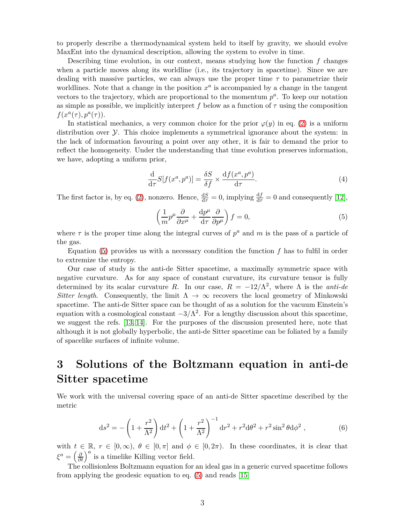to properly describe a thermodynamical system held to itself by gravity, we should evolve MaxEnt into the dynamical description, allowing the system to evolve in time.

Describing time evolution, in our context, means studying how the function *f* changes when a particle moves along its worldline (i.e., its trajectory in spacetime). Since we are dealing with massive particles, we can always use the proper time *τ* to parametrize their worldlines. Note that a change in the position  $x^a$  is accompanied by a change in the tangent vectors to the trajectory, which are proportional to the momentum  $p^a$ . To keep our notation as simple as possible, we implicitly interpret  $f$  below as a function of  $\tau$  using the composition  $f(x^a(\tau), p^a(\tau)).$ 

In statistical mechanics, a very common choice for the prior  $\varphi(y)$  in eq. [\(2\)](#page-1-0) is a uniform distribution over Y. This choice implements a symmetrical ignorance about the system: in the lack of information favouring a point over any other, it is fair to demand the prior to reflect the homogeneity. Under the understanding that time evolution preserves information, we have, adopting a uniform prior,

$$
\frac{\mathrm{d}}{\mathrm{d}\tau}S[f(x^a, p^a)] = \frac{\delta S}{\delta f} \times \frac{\mathrm{d}f(x^a, p^a)}{\mathrm{d}\tau}.\tag{4}
$$

The first factor is, by eq. [\(2\)](#page-1-0), nonzero. Hence,  $\frac{dS}{d\tau} = 0$ , implying  $\frac{df}{d\tau} = 0$  and consequently [\[12\]](#page-8-5),

<span id="page-2-0"></span>
$$
\left(\frac{1}{m}p^{\mu}\frac{\partial}{\partial x^{\mu}} + \frac{\mathrm{d}p^{\mu}}{\mathrm{d}\tau}\frac{\partial}{\partial p^{\mu}}\right)f = 0,\tag{5}
$$

where  $\tau$  is the proper time along the integral curves of  $p^a$  and  $m$  is the pass of a particle of the gas.

Equation [\(5\)](#page-2-0) provides us with a necessary condition the function *f* has to fulfil in order to extremize the entropy.

Our case of study is the anti-de Sitter spacetime, a maximally symmetric space with negative curvature. As for any space of constant curvature, its curvature tensor is fully determined by its scalar curvature *R*. In our case,  $R = -12/\Lambda^2$ , where  $\Lambda$  is the *anti-de Sitter length.* Consequently, the limit  $\Lambda \to \infty$  recovers the local geometry of Minkowski spacetime. The anti-de Sitter space can be thought of as a solution for the vacuum Einstein's equation with a cosmological constant  $-3/\Lambda^2$ . For a lengthy discussion about this spacetime, we suggest the refs. [\[13,](#page-8-6) [14\]](#page-8-7). For the purposes of the discussion presented here, note that although it is not globally hyperbolic, the anti-de Sitter spacetime can be foliated by a family of spacelike surfaces of infinite volume.

# **3 Solutions of the Boltzmann equation in anti-de Sitter spacetime**

We work with the universal covering space of an anti-de Sitter spacetime described by the metric

<span id="page-2-1"></span>
$$
ds^{2} = -\left(1 + \frac{r^{2}}{\Lambda^{2}}\right)dt^{2} + \left(1 + \frac{r^{2}}{\Lambda^{2}}\right)^{-1}dr^{2} + r^{2}d\theta^{2} + r^{2}\sin^{2}\theta d\phi^{2},
$$
\n(6)

with  $t \in \mathbb{R}, r \in [0, \infty), \theta \in [0, \pi]$  and  $\phi \in [0, 2\pi)$ . In these coordinates, it is clear that  $\xi^a = \left(\frac{\partial}{\partial t}\right)^a$  is a timelike Killing vector field.

The collisionless Boltzmann equation for an ideal gas in a generic curved spacetime follows from applying the geodesic equation to eq. [\(5\)](#page-2-0) and reads [\[15\]](#page-8-8)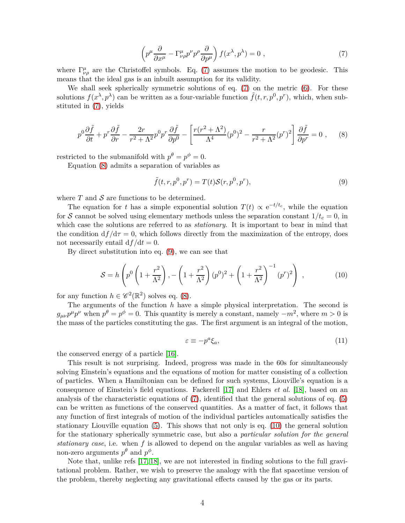<span id="page-3-0"></span>
$$
\left(p^{\mu}\frac{\partial}{\partial x^{\mu}} - \Gamma^{\mu}_{\nu\rho}p^{\nu}p^{\rho}\frac{\partial}{\partial p^{\mu}}\right)f(x^{\lambda},p^{\lambda}) = 0 , \qquad (7)
$$

where  $\Gamma^{\mu}_{\nu\rho}$  are the Christoffel symbols. Eq. [\(7\)](#page-3-0) assumes the motion to be geodesic. This means that the ideal gas is an inbuilt assumption for its validity.

We shall seek spherically symmetric solutions of eq. [\(7\)](#page-3-0) on the metric [\(6\)](#page-2-1). For these solutions  $f(x^{\lambda}, p^{\lambda})$  can be written as a four-variable function  $\tilde{f}(t, r, p^0, p^r)$ , which, when substituted in [\(7\)](#page-3-0), yields

<span id="page-3-1"></span>
$$
p^{0}\frac{\partial\tilde{f}}{\partial t} + p^{r}\frac{\partial\tilde{f}}{\partial r} - \frac{2r}{r^{2} + \Lambda^{2}}p^{0}p^{r}\frac{\partial\tilde{f}}{\partial p^{0}} - \left[\frac{r(r^{2} + \Lambda^{2})}{\Lambda^{4}}(p^{0})^{2} - \frac{r}{r^{2} + \Lambda^{2}}(p^{r})^{2}\right]\frac{\partial\tilde{f}}{\partial p^{r}} = 0 , \quad (8)
$$

restricted to the submanifold with  $p^{\theta} = p^{\phi} = 0$ .

Equation [\(8\)](#page-3-1) admits a separation of variables as

<span id="page-3-2"></span>
$$
\tilde{f}(t,r,p^0,p^r) = T(t)\mathcal{S}(r,p^0,p^r),\tag{9}
$$

where  $T$  and  $S$  are functions to be determined.

The equation for *t* has a simple exponential solution  $T(t) \propto e^{-t/t_c}$ , while the equation for S cannot be solved using elementary methods unless the separation constant  $1/t_c = 0$ , in which case the solutions are referred to as *stationary*. It is important to bear in mind that the condition  $df/d\tau = 0$ , which follows directly from the maximization of the entropy, does not necessarily entail  $df/dt = 0$ .

By direct substitution into eq. [\(9\)](#page-3-2), we can see that

<span id="page-3-3"></span>
$$
S = h\left(p^{0}\left(1 + \frac{r^{2}}{\Lambda^{2}}\right), -\left(1 + \frac{r^{2}}{\Lambda^{2}}\right)(p^{0})^{2} + \left(1 + \frac{r^{2}}{\Lambda^{2}}\right)^{-1}(p^{r})^{2}\right) ,\qquad (10)
$$

for any function  $h \in \mathscr{C}^2(\mathbb{R}^2)$  solves eq. [\(8\)](#page-3-1).

The arguments of the function  $\hat{h}$  have a simple physical interpretation. The second is  $g_{\mu\nu}p^{\mu}p^{\nu}$  when  $p^{\theta} = p^{\phi} = 0$ . This quantity is merely a constant, namely  $-m^2$ , where  $m > 0$  is the mass of the particles constituting the gas. The first argument is an integral of the motion,

<span id="page-3-4"></span>
$$
\varepsilon \equiv -p^a \xi_a,\tag{11}
$$

the conserved energy of a particle [\[16\]](#page-8-9).

This result is not surprising. Indeed, progress was made in the 60s for simultaneously solving Einstein's equations and the equations of motion for matter consisting of a collection of particles. When a Hamiltonian can be defined for such systems, Liouville's equation is a consequence of Einstein's field equations. Fackerell [\[17\]](#page-8-10) and Ehlers *et al.* [\[18\]](#page-8-11), based on an analysis of the characteristic equations of [\(7\)](#page-3-0), identified that the general solutions of eq. [\(5\)](#page-2-0) can be written as functions of the conserved quantities. As a matter of fact, it follows that any function of first integrals of motion of the individual particles automatically satisfies the stationary Liouville equation [\(5\)](#page-2-0). This shows that not only is eq. [\(10\)](#page-3-3) the general solution for the stationary spherically symmetric case, but also a *particular solution for the general stationary case*, i.e. when *f* is allowed to depend on the angular variables as well as having non-zero arguments  $p^{\theta}$  and  $p^{\phi}$ .

Note that, unlike refs [\[17,](#page-8-10) [18\]](#page-8-11), we are not interested in finding solutions to the full gravitational problem. Rather, we wish to preserve the analogy with the flat spacetime version of the problem, thereby neglecting any gravitational effects caused by the gas or its parts.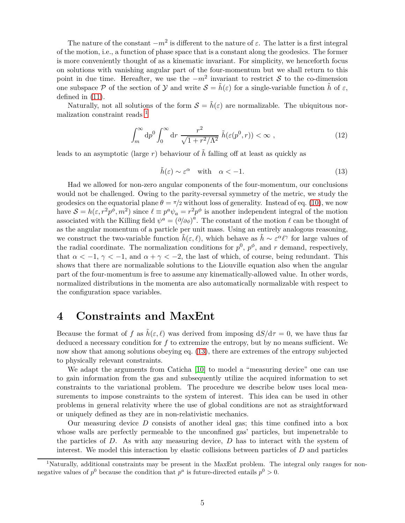The nature of the constant  $-m^2$  is different to the nature of  $\varepsilon$ . The latter is a first integral of the motion, i.e., a function of phase space that is a constant along the geodesics. The former is more conveniently thought of as a kinematic invariant. For simplicity, we henceforth focus on solutions with vanishing angular part of the four-momentum but we shall return to this point in due time. Hereafter, we use the  $-m^2$  invariant to restrict S to the co-dimension one subspace P of the section of Y and write  $S = \tilde{h}(\varepsilon)$  for a single-variable function  $\tilde{h}$  of  $\varepsilon$ , defined in [\(11\)](#page-3-4).

Naturally, not all solutions of the form  $S = \tilde{h}(\varepsilon)$  are normalizable. The ubiquitous normalization constraint reads  $<sup>1</sup>$  $<sup>1</sup>$  $<sup>1</sup>$ </sup>

$$
\int_{m}^{\infty} dp^{0} \int_{0}^{\infty} dr \frac{r^{2}}{\sqrt{1 + r^{2}/\Lambda^{2}}} \tilde{h}(\varepsilon(p^{0}, r)) < \infty ,
$$
\n(12)

leads to an asymptotic (large  $r$ ) behaviour of  $\tilde{h}$  falling off at least as quickly as

<span id="page-4-1"></span>
$$
\tilde{h}(\varepsilon) \sim \varepsilon^{\alpha} \quad \text{with} \quad \alpha < -1. \tag{13}
$$

Had we allowed for non-zero angular components of the four-momentum, our conclusions would not be challenged. Owing to the parity-reversal symmetry of the metric, we study the geodesics on the equatorial plane  $\theta = \pi/2$  without loss of generality. Instead of eq. [\(10\)](#page-3-3), we now have  $S = h(\epsilon, r^2p^{\phi}, m^2)$  since  $\ell \equiv p^a \psi_a = r^2p^{\phi}$  is another independent integral of the motion associated with the Killing field  $\psi^a = (\partial/\partial \phi)^a$ . The constant of the motion  $\ell$  can be thought of as the angular momentum of a particle per unit mass. Using an entirely analogous reasoning, we construct the two-variable function  $\tilde{h}(\varepsilon,\ell)$ , which behave as  $\tilde{h} \sim \varepsilon^{\alpha} \ell^{\gamma}$  for large values of the radial coordinate. The normalization conditions for  $p^0$ ,  $p^{\phi}$ , and *r* demand, respectively, that  $\alpha < -1$ ,  $\gamma < -1$ , and  $\alpha + \gamma < -2$ , the last of which, of course, being redundant. This shows that there are normalizable solutions to the Liouville equation also when the angular part of the four-momentum is free to assume any kinematically-allowed value. In other words, normalized distributions in the momenta are also automatically normalizable with respect to the configuration space variables.

### **4 Constraints and MaxEnt**

Because the format of f as  $h(\varepsilon,\ell)$  was derived from imposing  $dS/d\tau = 0$ , we have thus far deduced a necessary condition for *f* to extremize the entropy, but by no means sufficient. We now show that among solutions obeying eq. [\(13\)](#page-4-1), there are extremes of the entropy subjected to physically relevant constraints.

We adapt the arguments from Caticha [\[10\]](#page-8-4) to model a "measuring device" one can use to gain information from the gas and subsequently utilize the acquired information to set constraints to the variational problem. The procedure we describe below uses local measurements to impose constraints to the system of interest. This idea can be used in other problems in general relativity where the use of global conditions are not as straightforward or uniquely defined as they are in non-relativistic mechanics.

Our measuring device *D* consists of another ideal gas; this time confined into a box whose walls are perfectly permeable to the unconfined gas' particles, but impenetrable to the particles of *D*. As with any measuring device, *D* has to interact with the system of interest. We model this interaction by elastic collisions between particles of *D* and particles

<span id="page-4-0"></span><sup>&</sup>lt;sup>1</sup>Naturally, additional constraints may be present in the MaxEnt problem. The integral only ranges for nonnegative values of  $p^0$  because the condition that  $p^a$  is future-directed entails  $p^0 > 0$ .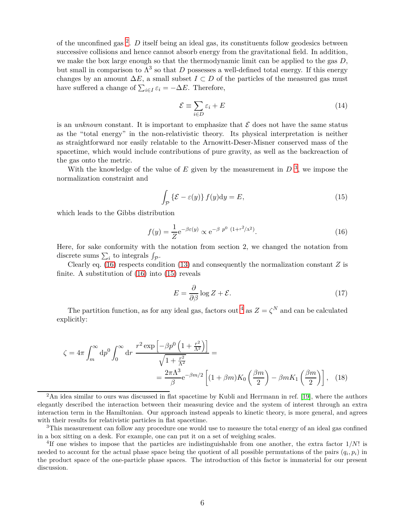of the unconfined gas [2](#page-5-0) . *D* itself being an ideal gas, its constituents follow geodesics between successive collisions and hence cannot absorb energy from the gravitational field. In addition, we make the box large enough so that the thermodynamic limit can be applied to the gas *D*, but small in comparison to  $\Lambda^3$  so that *D* possesses a well-defined total energy. If this energy changes by an amount  $\Delta E$ , a small subset  $I \subset D$  of the particles of the measured gas must have suffered a change of  $\sum_{i \in I} \varepsilon_i = -\Delta E$ . Therefore,

$$
\mathcal{E} \equiv \sum_{i \in D} \varepsilon_i + E \tag{14}
$$

is an *unknown* constant. It is important to emphasize that  $\mathcal E$  does not have the same status as the "total energy" in the non-relativistic theory. Its physical interpretation is neither as straightforward nor easily relatable to the Arnowitt-Deser-Misner conserved mass of the spacetime, which would include contributions of pure gravity, as well as the backreaction of the gas onto the metric.

With the knowledge of the value of  $E$  given by the measurement in  $D<sup>3</sup>$  $D<sup>3</sup>$  $D<sup>3</sup>$ , we impose the normalization constraint and

<span id="page-5-3"></span>
$$
\int_{\mathcal{P}} \left\{ \mathcal{E} - \varepsilon(y) \right\} f(y) \mathrm{d}y = E,\tag{15}
$$

which leads to the Gibbs distribution

<span id="page-5-2"></span>
$$
f(y) = \frac{1}{Z} e^{-\beta \varepsilon(y)} \propto e^{-\beta p^0 (1 + r^2/\Lambda^2)}.
$$
 (16)

Here, for sake conformity with the notation from section 2, we changed the notation from discrete sums  $\sum_i$  to integrals  $\int_{\mathcal{P}}$ .

Clearly eq. [\(16\)](#page-5-2) respects condition [\(13\)](#page-4-1) and consequently the normalization constant  $Z$  is finite. A substitution of [\(16\)](#page-5-2) into [\(15\)](#page-5-3) reveals

<span id="page-5-6"></span><span id="page-5-5"></span>
$$
E = \frac{\partial}{\partial \beta} \log Z + \mathcal{E}.\tag{17}
$$

The partition function, as for any ideal gas, factors out <sup>[4](#page-5-4)</sup> as  $Z = \zeta^N$  and can be calculated explicitly:

$$
\zeta = 4\pi \int_{m}^{\infty} dp^{0} \int_{0}^{\infty} dr \frac{r^{2} \exp\left[-\beta p^{0} \left(1 + \frac{r^{2}}{\Lambda^{2}}\right)\right]}{\sqrt{1 + \frac{r^{2}}{\Lambda^{2}}}} =
$$
  
= 
$$
\frac{2\pi \Lambda^{3}}{\beta} e^{-\beta m/2} \left[ (1 + \beta m) K_{0} \left(\frac{\beta m}{2}\right) - \beta m K_{1} \left(\frac{\beta m}{2}\right) \right], \quad (18)
$$

<span id="page-5-0"></span><sup>2</sup>An idea similar to ours was discussed in flat spacetime by Kubli and Herrmann in ref. [\[19\]](#page-8-12), where the authors elegantly described the interaction between their measuring device and the system of interest through an extra interaction term in the Hamiltonian. Our approach instead appeals to kinetic theory, is more general, and agrees with their results for relativistic particles in flat spacetime.

<span id="page-5-1"></span><sup>3</sup>This measurement can follow any procedure one would use to measure the total energy of an ideal gas confined in a box sitting on a desk. For example, one can put it on a set of weighing scales.

<span id="page-5-4"></span><sup>&</sup>lt;sup>4</sup>If one wishes to impose that the particles are indistinguishable from one another, the extra factor 1/N! is needed to account for the actual phase space being the quotient of all possible permutations of the pairs  $(q_i, p_i)$  in the product space of the one-particle phase spaces. The introduction of this factor is immaterial for our present discussion.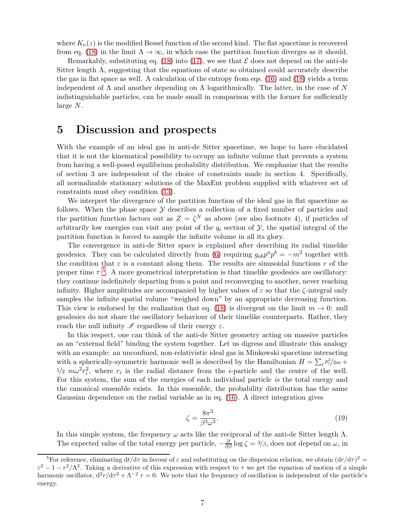where  $K_{\nu}(z)$  is the modified Bessel function of the second kind. The flat spacetime is recovered from eq. [\(18\)](#page-5-5) in the limit  $\Lambda \to \infty$ , in which case the partition function diverges as it should.

Remarkably, substituting eq. [\(18\)](#page-5-5) into [\(17\)](#page-5-6), we see that  $\mathcal E$  does not depend on the anti-de Sitter length  $\Lambda$ , suggesting that the equations of state so obtained could accurately describe the gas in flat space as well. A calculation of the entropy from eqs. [\(16\)](#page-5-2) and [\(18\)](#page-5-5) yields a term independent of Λ and another depending on Λ logarithmically. The latter, in the case of *N* indistinguishable particles, can be made small in comparison with the former for sufficiently large *N*.

# **5 Discussion and prospects**

With the example of an ideal gas in anti-de Sitter spacetime, we hope to have elucidated that it is not the kinematical possibility to occupy an infinite volume that prevents a system from having a well-posed equilibrium probability distribution. We emphasize that the results of section 3 are independent of the choice of constraints made in section 4. Specifically, all normalizable stationary solutions of the MaxEnt problem supplied with whatever set of constraints must obey condition [\(13\)](#page-4-1).

We interpret the divergence of the partition function of the ideal gas in flat spacetime as follows. When the phase space  $\mathcal Y$  describes a collection of a fixed number of particles and the partition function factors out as  $Z = \zeta^N$  as above (see also footnote 4), if particles of arbitrarily low energies can visit any point of the  $q_i$  section of  $\mathcal{Y}$ , the spatial integral of the partition function is forced to sample the infinite volume in all its glory.

The convergence in anti-de Sitter space is explained after describing its radial timelike geodesics. They can be calculated directly from [\(6\)](#page-2-1) requiring  $g_{ab}p^a p^b = -m^2$  together with the condition that  $\varepsilon$  is a constant along them. The results are sinusoidal functions  $r$  of the proper time  $\tau$ <sup>[5](#page-6-0)</sup>. A more geometrical interpretation is that timelike geodesics are oscillatory: they continue indefinitely departing from a point and reconverging to another, never reaching infinity. Higher amplitudes are accompanied by higher values of *ε* so that the *ζ*-integral only samples the infinite spatial volume "weighed down" by an appropriate decreasing function. This view is endorsed by the realization that eq. [\(18\)](#page-5-5) is divergent on the limit  $m \to 0$ : null geodesics do not share the oscillatory behaviour of their timelike counterparts. Rather, they reach the null infinity  $\mathscr I$  regardless of their energy  $\varepsilon$ .

In this respect, one can think of the anti-de Sitter geometry acting on massive particles as an "external field" binding the system together. Let us digress and illustrate this analogy with an example: an unconfined, non-relativistic ideal gas in Minkowski spacetime interacting with a spherically-symmetric harmonic well is described by the Hamiltonian  $H = \sum_i p_i^2/2m +$  $\frac{1}{2} m \omega^2 r_i^2$ , where  $r_i$  is the radial distance from the *i*-particle and the centre of the well. For this system, the sum of the energies of each individual particle *is* the total energy and the canonical ensemble exists. In this ensemble, the probability distribution has the same Gaussian dependence on the radial variable as in eq. [\(16\)](#page-5-2). A direct integration gives

$$
\zeta = \frac{8\pi^3}{\beta^3 \omega^3}.\tag{19}
$$

In this simple system, the frequency  $\omega$  acts like the reciprocal of the anti-de Sitter length  $\Lambda$ . The expected value of the total energy per particle,  $-\frac{\partial}{\partial \beta} \log \zeta = \frac{3}{\beta}$ , does not depend on  $\omega$ , in

<span id="page-6-0"></span><sup>&</sup>lt;sup>5</sup>For reference, eliminating  $dt/d\tau$  in favour of  $\varepsilon$  and substituting on the dispersion relation, we obtain  $(d\tau/d\tau)^2$  $\varepsilon^2 - 1 - r^2/\Lambda^2$ . Taking a derivative of this expression with respect to *τ* we get the equation of motion of a simple harmonic oscillator,  $d^2r/d\tau^2 + \Lambda^{-2}r = 0$ . We note that the frequency of oscillation is independent of the particle's energy.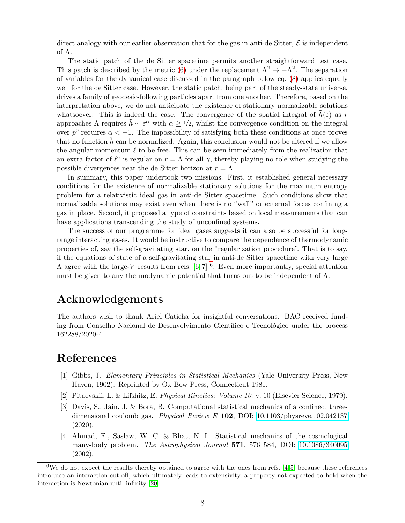direct analogy with our earlier observation that for the gas in anti-de Sitter,  $\mathcal E$  is independent of Λ.

The static patch of the de Sitter spacetime permits another straightforward test case. This patch is described by the metric [\(6\)](#page-2-1) under the replacement  $\Lambda^2 \to -\Lambda^2$ . The separation of variables for the dynamical case discussed in the paragraph below eq. [\(8\)](#page-3-1) applies equally well for the de Sitter case. However, the static patch, being part of the steady-state universe, drives a family of geodesic-following particles apart from one another. Therefore, based on the interpretation above, we do not anticipate the existence of stationary normalizable solutions whatsoever. This is indeed the case. The convergence of the spatial integral of  $\tilde{h}(\varepsilon)$  as r approaches  $\Lambda$  requires  $\tilde{h} \sim \varepsilon^{\alpha}$  with  $\alpha \geq 1/2$ , whilst the convergence condition on the integral over  $p^0$  requires  $\alpha < -1$ . The impossibility of satisfying both these conditions at once proves that no function  $\hbar$  can be normalized. Again, this conclusion would not be altered if we allow the angular momentum *ℓ* to be free. This can be seen immediately from the realization that an extra factor of  $\ell^{\gamma}$  is regular on  $r = \Lambda$  for all  $\gamma$ , thereby playing no role when studying the possible divergences near the de Sitter horizon at  $r = \Lambda$ .

In summary, this paper undertook two missions. First, it established general necessary conditions for the existence of normalizable stationary solutions for the maximum entropy problem for a relativistic ideal gas in anti-de Sitter spacetime. Such conditions show that normalizable solutions may exist even when there is no "wall" or external forces confining a gas in place. Second, it proposed a type of constraints based on local measurements that can have applications transcending the study of unconfined systems.

The success of our programme for ideal gases suggests it can also be successful for longrange interacting gases. It would be instructive to compare the dependence of thermodynamic properties of, say the self-gravitating star, on the "regularization procedure". That is to say, if the equations of state of a self-gravitating star in anti-de Sitter spacetime with very large  $\Lambda$  agree with the large-*V* results from refs.  $[6, 7]$  $[6, 7]$  <sup>[6](#page-7-4)</sup>. Even more importantly, special attention must be given to any thermodynamic potential that turns out to be independent of  $\Lambda$ .

# **Acknowledgements**

The authors wish to thank Ariel Caticha for insightful conversations. BAC received funding from Conselho Nacional de Desenvolvimento Científico e Tecnológico under the process 162288/2020-4.

# <span id="page-7-0"></span>**References**

- <span id="page-7-1"></span>[1] Gibbs, J. *Elementary Principles in Statistical Mechanics* (Yale University Press, New Haven, 1902). Reprinted by Ox Bow Press, Connecticut 1981.
- <span id="page-7-2"></span>[2] Pitaevskii, L. & Lifshitz, E. *Physical Kinetics: Volume 10*. v. 10 (Elsevier Science, 1979).
- [3] Davis, S., Jain, J. & Bora, B. Computational statistical mechanics of a confined, threedimensional coulomb gas. *Physical Review E* **102**, DOI:<10.1103/physreve.102.042137>  $(2020).$
- <span id="page-7-3"></span>[4] Ahmad, F., Saslaw, W. C. & Bhat, N. I. Statistical mechanics of the cosmological many-body problem. *The Astrophysical Journal* **571**, 576–584, DOI:<10.1086/340095> (2002).

<span id="page-7-4"></span><sup>&</sup>lt;sup>6</sup>We do not expect the results thereby obtained to agree with the ones from refs. [\[4,](#page-7-3) [5\]](#page-8-14) because these references introduce an interaction cut-off, which ultimately leads to extensivity, a property not expected to hold when the interaction is Newtonian until infinity [\[20\]](#page-8-15).